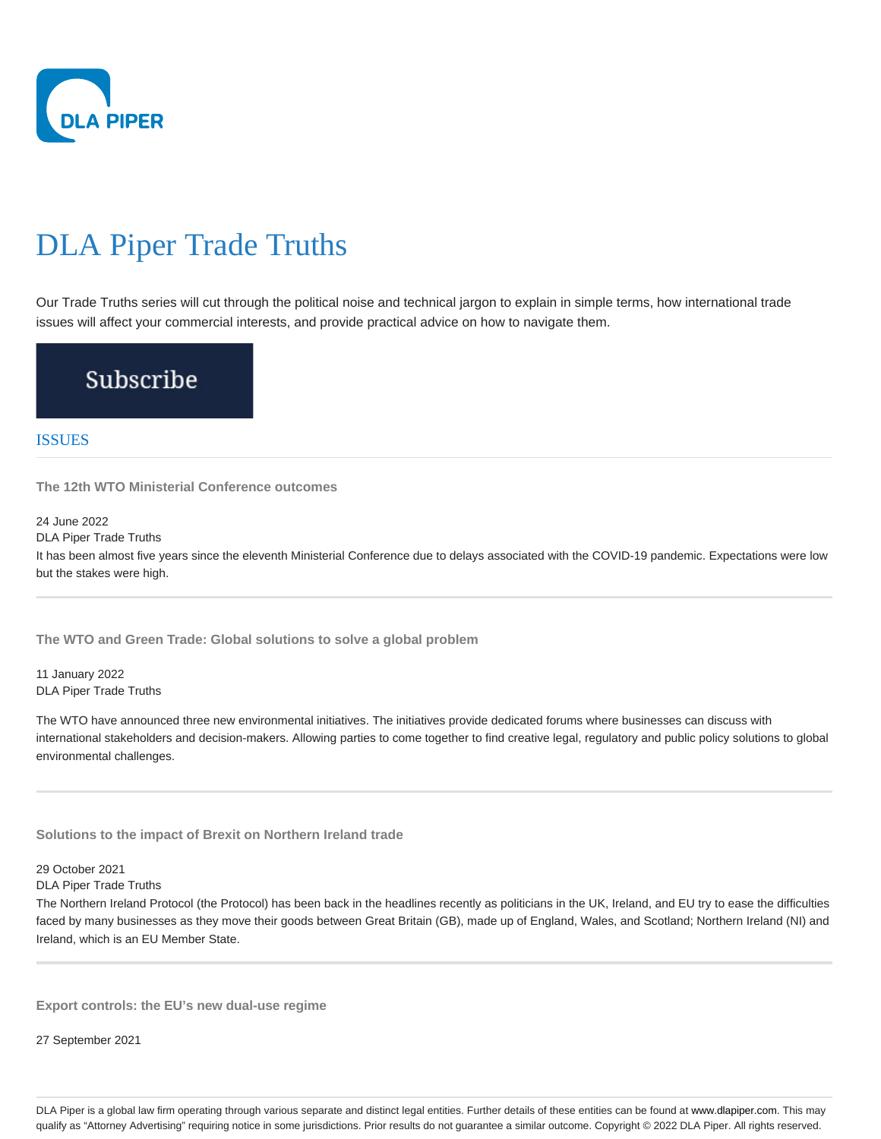

# DLA Piper Trade Truths

Our Trade Truths series will cut through the political noise and technical jargon to explain in simple terms, how international trade issues will affect your commercial interests, and provide practical advice on how to navigate them.

# Subscribe

# ISSUES

**The 12th WTO Ministerial Conference outcomes**

24 June 2022

DLA Piper Trade Truths

It has been almost five years since the eleventh Ministerial Conference due to delays associated with the COVID-19 pandemic. Expectations were low but the stakes were high.

**The WTO and Green Trade: Global solutions to solve a global problem**

11 January 2022 DLA Piper Trade Truths

The WTO have announced three new environmental initiatives. The initiatives provide dedicated forums where businesses can discuss with international stakeholders and decision-makers. Allowing parties to come together to find creative legal, regulatory and public policy solutions to global environmental challenges.

**Solutions to the impact of Brexit on Northern Ireland trade**

29 October 2021

DLA Piper Trade Truths

The Northern Ireland Protocol (the Protocol) has been back in the headlines recently as politicians in the UK, Ireland, and EU try to ease the difficulties faced by many businesses as they move their goods between Great Britain (GB), made up of England, Wales, and Scotland; Northern Ireland (NI) and Ireland, which is an EU Member State.

**Export controls: the EU's new dual-use regime**

27 September 2021

DLA Piper is a global law firm operating through various separate and distinct legal entities. Further details of these entities can be found at www.dlapiper.com. This may qualify as "Attorney Advertising" requiring notice in some jurisdictions. Prior results do not guarantee a similar outcome. Copyright @ 2022 DLA Piper. All rights reserved.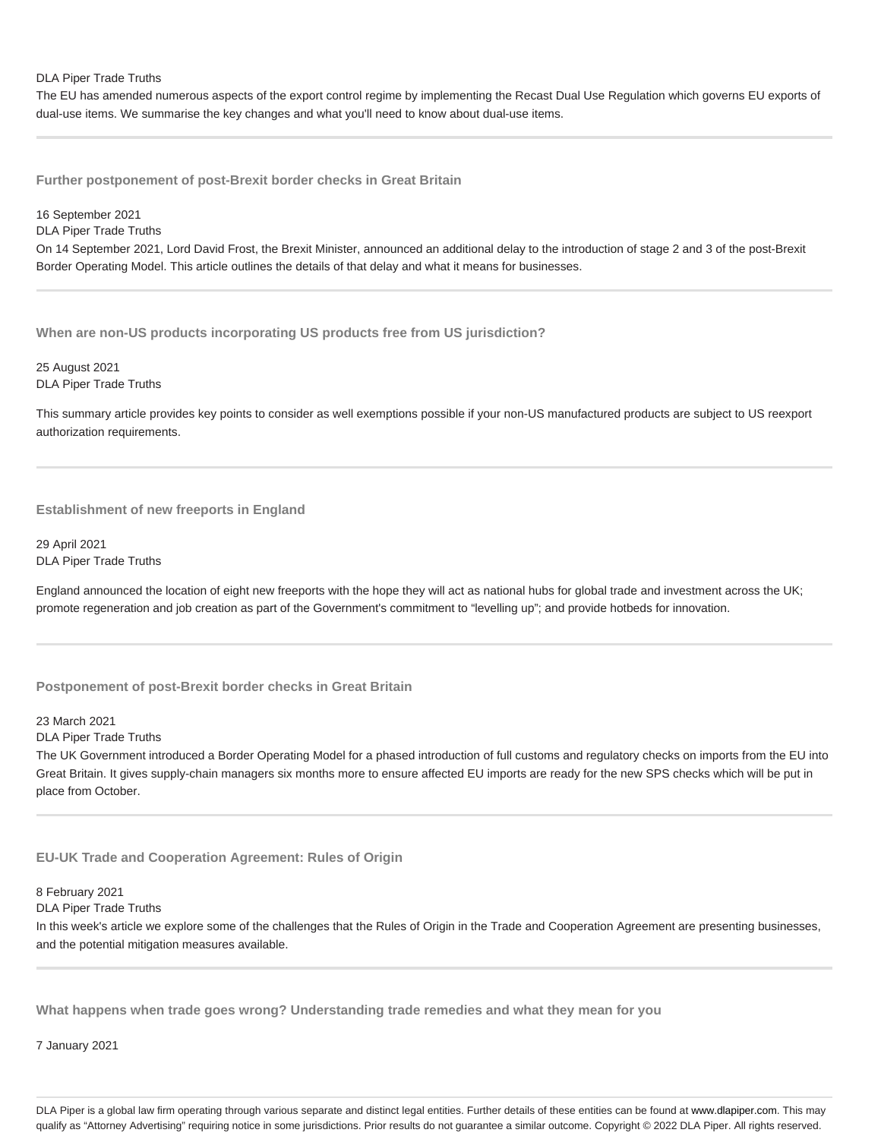#### DLA Piper Trade Truths

The EU has amended numerous aspects of the export control regime by implementing the Recast Dual Use Regulation which governs EU exports of dual-use items. We summarise the key changes and what you'll need to know about dual-use items.

**Further postponement of post-Brexit border checks in Great Britain**

16 September 2021 DLA Piper Trade Truths On 14 September 2021, Lord David Frost, the Brexit Minister, announced an additional delay to the introduction of stage 2 and 3 of the post-Brexit Border Operating Model. This article outlines the details of that delay and what it means for businesses.

**When are non-US products incorporating US products free from US jurisdiction?**

25 August 2021 DLA Piper Trade Truths

This summary article provides key points to consider as well exemptions possible if your non-US manufactured products are subject to US reexport authorization requirements.

# **Establishment of new freeports in England**

29 April 2021 DLA Piper Trade Truths

England announced the location of eight new freeports with the hope they will act as national hubs for global trade and investment across the UK; promote regeneration and job creation as part of the Government's commitment to "levelling up"; and provide hotbeds for innovation.

**Postponement of post-Brexit border checks in Great Britain**

23 March 2021

DLA Piper Trade Truths

The UK Government introduced a Border Operating Model for a phased introduction of full customs and regulatory checks on imports from the EU into Great Britain. It gives supply-chain managers six months more to ensure affected EU imports are ready for the new SPS checks which will be put in place from October.

**EU-UK Trade and Cooperation Agreement: Rules of Origin**

### 8 February 2021

DLA Piper Trade Truths

In this week's article we explore some of the challenges that the Rules of Origin in the Trade and Cooperation Agreement are presenting businesses, and the potential mitigation measures available.

**What happens when trade goes wrong? Understanding trade remedies and what they mean for you**

7 January 2021

DLA Piper is a global law firm operating through various separate and distinct legal entities. Further details of these entities can be found at www.dlapiper.com. This may qualify as "Attorney Advertising" requiring notice in some jurisdictions. Prior results do not guarantee a similar outcome. Copyright @ 2022 DLA Piper. All rights reserved.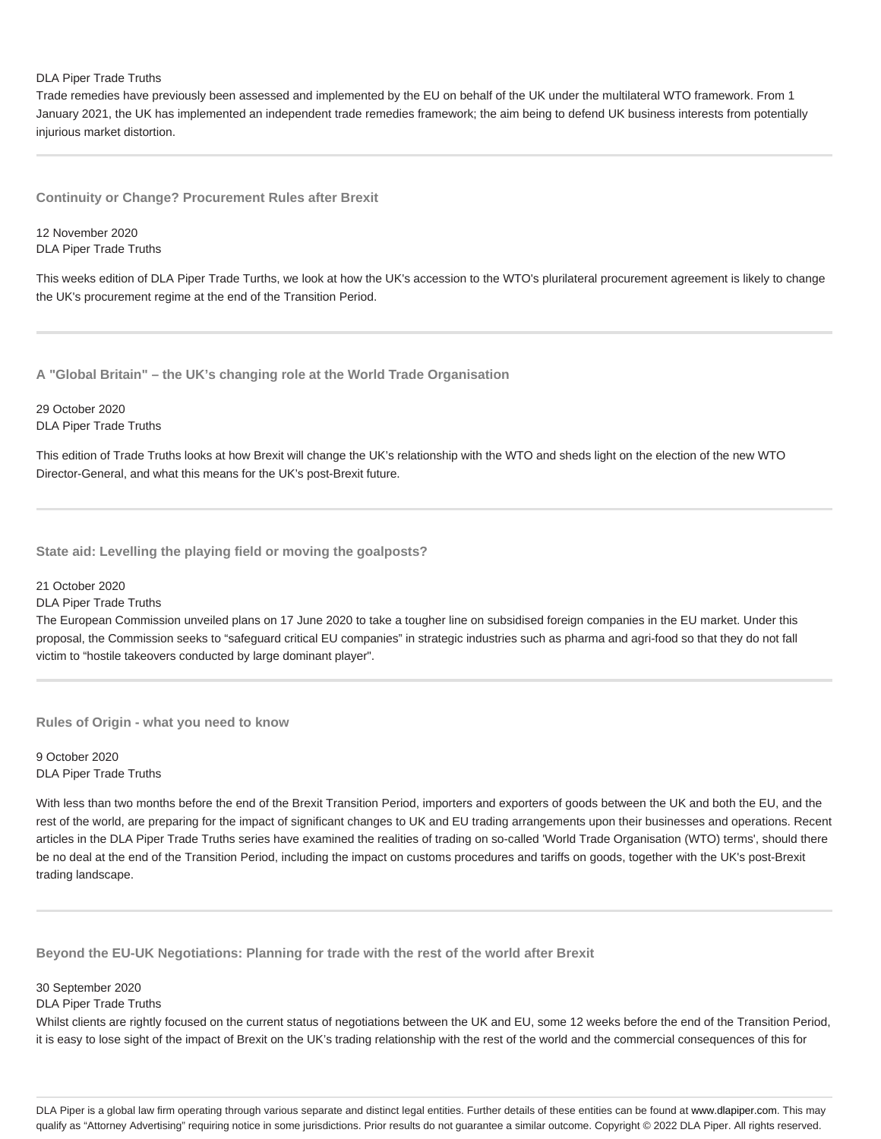#### DLA Piper Trade Truths

Trade remedies have previously been assessed and implemented by the EU on behalf of the UK under the multilateral WTO framework. From 1 January 2021, the UK has implemented an independent trade remedies framework; the aim being to defend UK business interests from potentially injurious market distortion.

**Continuity or Change? Procurement Rules after Brexit**

12 November 2020 DLA Piper Trade Truths

This weeks edition of DLA Piper Trade Turths, we look at how the UK's accession to the WTO's plurilateral procurement agreement is likely to change the UK's procurement regime at the end of the Transition Period.

**A "Global Britain" – the UK's changing role at the World Trade Organisation**

29 October 2020 DLA Piper Trade Truths

This edition of Trade Truths looks at how Brexit will change the UK's relationship with the WTO and sheds light on the election of the new WTO Director-General, and what this means for the UK's post-Brexit future.

**State aid: Levelling the playing field or moving the goalposts?**

21 October 2020

DLA Piper Trade Truths

The European Commission unveiled plans on 17 June 2020 to take a tougher line on subsidised foreign companies in the EU market. Under this proposal, the Commission seeks to "safeguard critical EU companies" in strategic industries such as pharma and agri-food so that they do not fall victim to "hostile takeovers conducted by large dominant player".

**Rules of Origin - what you need to know**

9 October 2020 DLA Piper Trade Truths

With less than two months before the end of the Brexit Transition Period, importers and exporters of goods between the UK and both the EU, and the rest of the world, are preparing for the impact of significant changes to UK and EU trading arrangements upon their businesses and operations. Recent articles in the DLA Piper Trade Truths series have examined the realities of trading on so-called 'World Trade Organisation (WTO) terms', should there be no deal at the end of the Transition Period, including the impact on customs procedures and tariffs on goods, together with the UK's post-Brexit trading landscape.

**Beyond the EU-UK Negotiations: Planning for trade with the rest of the world after Brexit**

30 September 2020

DLA Piper Trade Truths

Whilst clients are rightly focused on the current status of negotiations between the UK and EU, some 12 weeks before the end of the Transition Period, it is easy to lose sight of the impact of Brexit on the UK's trading relationship with the rest of the world and the commercial consequences of this for

DLA Piper is a global law firm operating through various separate and distinct legal entities. Further details of these entities can be found at www.dlapiper.com. This may qualify as "Attorney Advertising" requiring notice in some jurisdictions. Prior results do not guarantee a similar outcome. Copyright @ 2022 DLA Piper. All rights reserved.